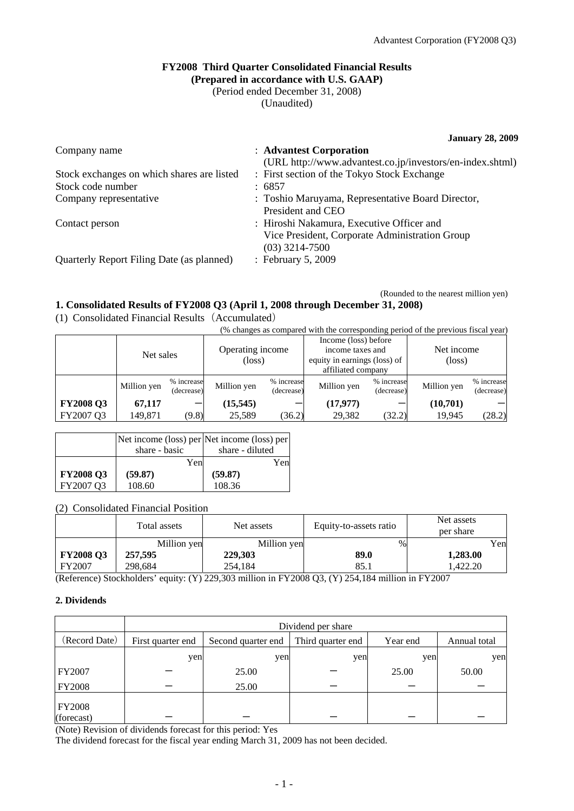### **FY2008 Third Quarter Consolidated Financial Results (Prepared in accordance with U.S. GAAP)**

(Period ended December 31, 2008)

(Unaudited)

**January 28, 2009** 

| Company name                               | : Advantest Corporation                                   |
|--------------------------------------------|-----------------------------------------------------------|
|                                            | (URL http://www.advantest.co.jp/investors/en-index.shtml) |
| Stock exchanges on which shares are listed | : First section of the Tokyo Stock Exchange               |
| Stock code number                          | : 6857                                                    |
| Company representative                     | : Toshio Maruyama, Representative Board Director,         |
|                                            | President and CEO                                         |
| Contact person                             | : Hiroshi Nakamura, Executive Officer and                 |
|                                            | Vice President, Corporate Administration Group            |
|                                            | $(03)$ 3214-7500                                          |
| Quarterly Report Filing Date (as planned)  | : February 5, 2009                                        |
|                                            |                                                           |

(Rounded to the nearest million yen)

### **1. Consolidated Results of FY2008 Q3 (April 1, 2008 through December 31, 2008)**

(1) Consolidated Financial Results(Accumulated)

(% changes as compared with the corresponding period of the previous fiscal year)

|                  | Net sales   |                          | Operating income<br>(loss) |                          | Income (loss) before<br>income taxes and<br>equity in earnings (loss) of<br>affiliated company |                          | Net income<br>$(\text{loss})$ |                          |
|------------------|-------------|--------------------------|----------------------------|--------------------------|------------------------------------------------------------------------------------------------|--------------------------|-------------------------------|--------------------------|
|                  | Million yen | % increase<br>(decrease) | Million yen                | % increase<br>(decrease) | Million yen                                                                                    | % increase<br>(decrease) | Million yen                   | % increase<br>(decrease) |
| <b>FY2008 Q3</b> | 67,117      |                          | (15, 545)                  |                          | (17, 977)                                                                                      |                          | (10,701)                      |                          |
| FY2007 Q3        | 149,871     | (9.8)                    | 25,589                     | (36.2)                   | 29,382                                                                                         | (32.2)                   | 19,945                        | (28.2)                   |

|                  |               | Net income (loss) per Net income (loss) per |
|------------------|---------------|---------------------------------------------|
|                  | share - basic | share - diluted                             |
|                  | Yen           | Yen                                         |
| <b>FY2008 Q3</b> | (59.87)       | (59.87)                                     |
| FY2007 Q3        | 108.60        | 108.36                                      |

### (2) Consolidated Financial Position

|                  | Total assets | Net assets  | Equity-to-assets ratio | Net assets<br>per share |
|------------------|--------------|-------------|------------------------|-------------------------|
|                  | Million yen  | Million yen | %                      | Yen                     |
| <b>FY2008 Q3</b> | 257,595      | 229,303     | 89.0                   | 1,283.00                |
| FY2007           | 298.684      | 254.184     | 85.1                   | .422.20                 |

(Reference) Stockholders' equity: (Y) 229,303 million in FY2008 Q3, (Y) 254,184 million in FY2007

### **2. Dividends**

|                             | Dividend per share |                    |                   |          |              |
|-----------------------------|--------------------|--------------------|-------------------|----------|--------------|
| (Record Date)               | First quarter end  | Second quarter end | Third quarter end | Year end | Annual total |
|                             | yen                | yen                | yen               | yen      | yen          |
| FY2007                      |                    | 25.00              |                   | 25.00    | 50.00        |
| <b>FY2008</b>               |                    | 25.00              |                   |          |              |
| <b>FY2008</b><br>(forecast) |                    |                    |                   |          |              |

(Note) Revision of dividends forecast for this period: Yes

The dividend forecast for the fiscal year ending March 31, 2009 has not been decided.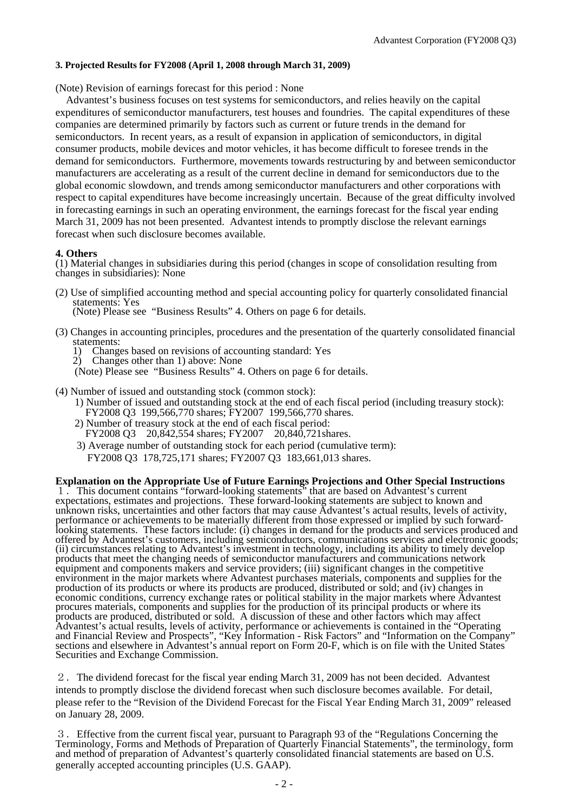#### **3. Projected Results for FY2008 (April 1, 2008 through March 31, 2009)**

(Note) Revision of earnings forecast for this period : None

Advant est's business focuses on test systems for semiconductors, and relies heavily on the capital expenditures of semiconductor manufacturers, test houses and foundries. The capital expenditures of these companies are determined primarily by factors such as current or future trends in the demand for semiconductors. In recent years, as a result of expansion in application of semiconductors, in digital consumer products, mobile devices and motor vehicles, it has become difficult to foresee trends in the demand for semiconductors. Furthermore, movements towards restructuring by and between semiconductor manufacturers are accelerating as a result of the current decline in demand for semiconductors due to the global economic slowdown, and trends among semiconductor manufacturers and other corporations with respect to capital expenditures have become increasingly uncertain. Because of the great difficulty involved in forecasting earnings in such an operating environment, the earnings forecast for the fiscal year ending March 31, 2009 has not been presented. Advantest intends to promptly disclose the relevant earnings forecast when such disclosure becomes available.

#### **4. Others**

(1) Material changes in subsidiaries during this period (changes in scope of consolidation resulting from changes in subsidiaries): None

(2) Use of simplified accounting method and special accounting policy for quarterly consolidated financial statements: Yes

(Note) Please see "Business Results" 4. Others on page 6 for details.

- (3) Changes in accounting principles, procedures and the presentation of the quarterly consolidated financial statements:<br>1) Change
	- 1) Changes based on revisions of accounting standard: Yes
	- 2) Changes other than 1) above: None
	- (Note) Please see "Business Results" 4. Others on page 6 for details.
- (4) Number of issued and outstanding stock (common stock):
	- 1) Number of issued and outstanding stock at the end of each fiscal period (including treasury stock): FY2008 Q3 199,566,770 shares; FY2007 199,566,770 shares.
	- 2) Number of treasury stock at the end of each fiscal period: FY2008 Q3 20,842,554 shares; FY2007 20,840,721shares.
	- 3) Average number of outstanding stock for each period (cumulative term): FY2008 Q3 178,725,171 shares; FY2007 Q3 183,661,013 shares.

### **Explanation on the Appropriate Use of Future Earnings Projections and Other Special Instructions**

1.This document contains "forward-looking statements" that are based on Advantest's current expectations, estimates and projections. These forward-looking statements are subject to known and unknown risks, uncertainties and other factors that may cause Advantest's actual results, levels of activity, performance or achievements to be materially different from those expressed or implied by such forwardlooking statements. These factors include: (i) changes in demand for the products and services produced and offered by Advantest's customers, including semiconductors, communications services and electronic goods; (ii) circumstances relating to Advantest's investment in technology, including its ability to timely develop products that meet the changing needs of semiconductor manufacturers and communications network equipment and components makers and service providers; (iii) significant changes in the competitive environment in the major markets where Advantest purchases materials, components and supplies for the production of its products or where its products are produced, distributed or sold; and (iv) changes in economic conditions, currency exchange rates or political stability in the major markets where Advantest procures materials, components and supplies for the production of its principal products or where its products are produced, distributed or sold. A discussion of these and other factors which may affect Advantest's actual results, levels of activity, performance or achievements is contained in the "Operating and Financial Review and Prospects", "Key Information - Risk Factors" and "Information on the Company" sections and elsewhere in Advantest's annual report on Form 20-F, which is on file with the United States Securities and Exchange Commission.

2.The dividend forecast for the fiscal year ending March 31, 2009 has not been decided. Advantest intends to promptly disclose the dividend forecast when such disclosure becomes available. For detail, please refer to the "Revision of the Dividend Forecast for the Fiscal Year Ending March 31, 2009" released on January 28, 2009.

generally accepted accounting principles (U.S. GAAP). 3.Effective from the current fiscal year, pursuant to Paragraph 93 of the "Regulations Concerning the Terminology, Forms and Methods of Preparation of Quarterly Financial Statements", the terminology, form and method of preparation of Advantest's quarterly consolidated financial statements are based on U.S.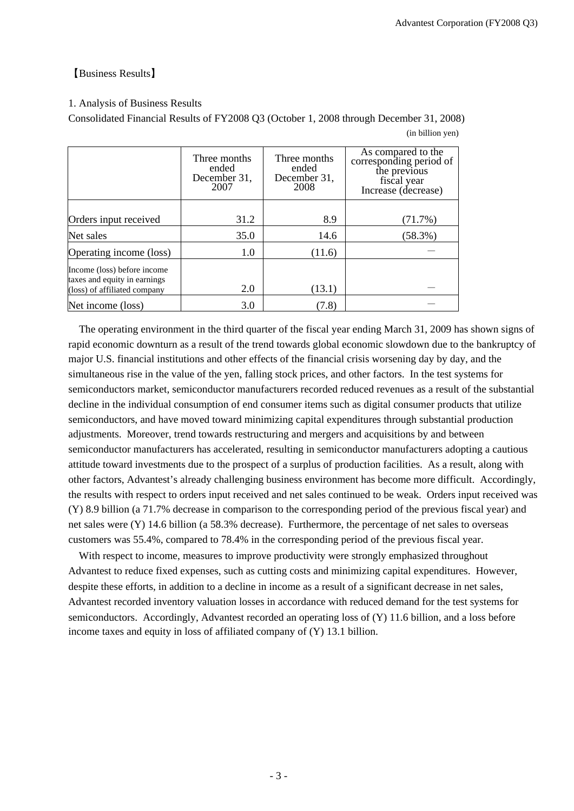# 【Business Results】

### 1. Analysis of Business Results

Consolidated Financial Results of FY2008 Q3 (October 1, 2008 through December 31, 2008)

| (in billion yen) |  |
|------------------|--|
|------------------|--|

|                                                                                             | Three months<br>ended<br>December 31,<br>2007 | Three months<br>ended<br>December 31,<br>2008 | As compared to the<br>corresponding period of<br>the previous<br>fiscal year<br>Increase (decrease) |
|---------------------------------------------------------------------------------------------|-----------------------------------------------|-----------------------------------------------|-----------------------------------------------------------------------------------------------------|
|                                                                                             |                                               |                                               |                                                                                                     |
| Orders input received                                                                       | 31.2                                          | 8.9                                           | $(71.7\%)$                                                                                          |
| Net sales                                                                                   | 35.0                                          | 14.6                                          | $(58.3\%)$                                                                                          |
| Operating income (loss)                                                                     | 1.0                                           | (11.6)                                        |                                                                                                     |
| Income (loss) before income<br>taxes and equity in earnings<br>(loss) of affiliated company | 2.0                                           | (13.1)                                        |                                                                                                     |
|                                                                                             |                                               |                                               |                                                                                                     |
| Net income (loss)                                                                           | 3.0                                           | (7.8)                                         |                                                                                                     |

The operating environment in the third quarter of the fiscal year ending March 31, 2009 has shown signs of rapid economic downturn as a result of the trend towards global economic slowdown due to the bankruptcy of major U.S. financial institutions and other effects of the financial crisis worsening day by day, and the simultaneous rise in the value of the yen, falling stock prices, and other factors. In the test systems for semiconductors market, semiconductor manufacturers recorded reduced revenues as a result of the substantial decline in the individual consumption of end consumer items such as digital consumer products that utilize semiconductors, and have moved toward minimizing capital expenditures through substantial production adjustments. Moreover, trend towards restructuring and mergers and acquisitions by and between semiconductor manufacturers has accelerated, resulting in semiconductor manufacturers adopting a cautious attitude toward investments due to the prospect of a surplus of production facilities. As a result, along with other factors, Advantest's already challenging business environment has become more difficult. Accordingly, the results with respect to orders input received and net sales continued to be weak. Orders input received was (Y) 8.9 billion (a 71.7% decrease in comparison to the corresponding period of the previous fiscal year) and net sales were (Y) 14.6 billion (a 58.3% decrease). Furthermore, the percentage of net sales to overseas customers was 55.4%, compared to 78.4% in the corresponding period of the previous fiscal year.

Advantest recorded inventory valuation losses in accordance with reduced demand for the test systems for income taxes and equity in loss of affiliated company of  $(Y)$  13.1 billion. With respect to income, measures to improve productivity were strongly emphasized throughout Advantest to reduce fixed expenses, such as cutting costs and minimizing capital expenditures. However, despite these efforts, in addition to a decline in income as a result of a significant decrease in net sales, semiconductors. Accordingly, Advantest recorded an operating loss of (Y) 11.6 billion, and a loss before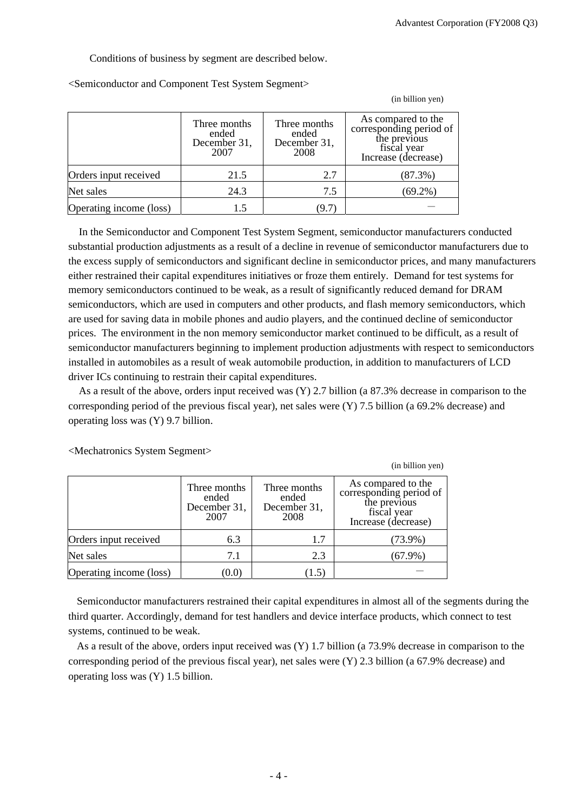(in billion yen)

Conditions of business by segment are described below.

|                         | Three months<br>ended<br>December 31,<br>2007 | Three months<br>ended<br>December 31,<br>2008 | As compared to the<br>corresponding period of<br>the previous<br>fiscal year<br>Increase (decrease) |
|-------------------------|-----------------------------------------------|-----------------------------------------------|-----------------------------------------------------------------------------------------------------|
| Orders input received   | 21.5                                          | 2.7                                           | $(87.3\%)$                                                                                          |
| Net sales               | 24.3                                          | 7.5                                           | $(69.2\%)$                                                                                          |
| Operating income (loss) | 1.5                                           | (9.7                                          |                                                                                                     |

<Semiconductor and Component Test System Segment>

In the Semiconductor and Component Test System Segment, semiconductor manufacturers conducted substantial production adjustments as a result of a decline in revenue of semiconductor manufacturers due to the excess supply of semiconductors and significant decline in semiconductor prices, and many manufacturers either restrained their capital expenditures initiatives or froze them entirely. Demand for test systems for memory semiconductors continued to be weak, as a result of significantly reduced demand for DRAM semiconductors, which are used in computers and other products, and flash memory semiconductors, which are used for saving data in mobile phones and audio players, and the continued decline of semiconductor prices. The environment in the non memory semiconductor market continued to be difficult, as a result of semiconductor manufacturers beginning to implement production adjustments with respect to semiconductors installed in automobiles as a result of weak automobile production, in addition to manufacturers of LCD driver ICs continuing to restrain their capital expenditures.

As a result of the above, orders input received was (Y) 2.7 billion (a 87.3% decrease in comparison to the corresponding period of the previous fiscal year), net sales were (Y) 7.5 billion (a 69.2% decrease) and operating loss was (Y) 9.7 billion.

|                         |                                               |                                               | (in billion yen)                                                                                    |
|-------------------------|-----------------------------------------------|-----------------------------------------------|-----------------------------------------------------------------------------------------------------|
|                         | Three months<br>ended<br>December 31,<br>2007 | Three months<br>ended<br>December 31,<br>2008 | As compared to the<br>corresponding period of<br>the previous<br>fiscal year<br>Increase (decrease) |
| Orders input received   | 6.3                                           | 1.7                                           | $(73.9\%)$                                                                                          |
| Net sales               | 7.1                                           | 2.3                                           | $(67.9\%)$                                                                                          |
| Operating income (loss) | (0.0)                                         | (1.5)                                         |                                                                                                     |

<Mechatronics System Segment>

Semiconductor manufacturers restrained their capital expenditures in almost all of the segments during the third quarter. Accordingly, demand for test handlers and device interface products, which connect to test systems, continued to be weak.

As a result of the above, orders input received was (Y) 1.7 billion (a 73.9% decrease in comparison to the corresponding period of the previous fiscal year), net sales were (Y) 2.3 billion (a 67.9% decrease) and operating loss was (Y) 1.5 billion.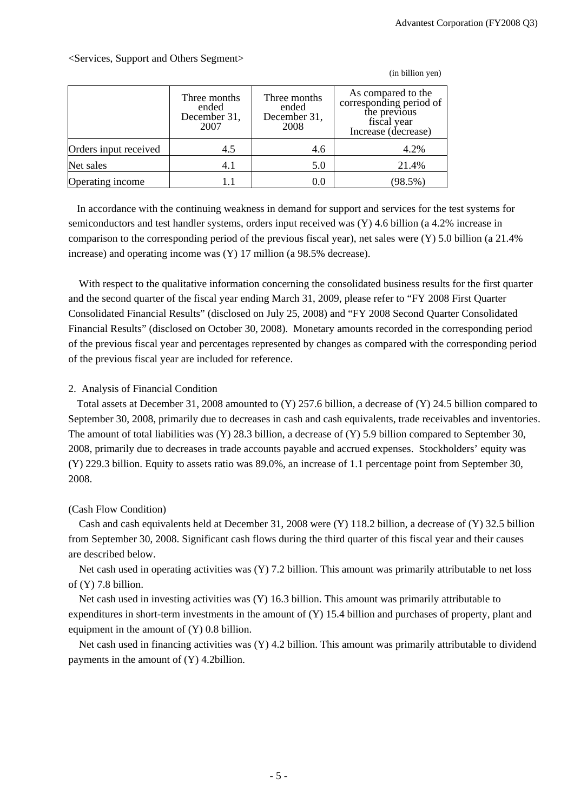(in billion yen)

Three months ended December 31, 2007 Three months ended December 31, 2008 As compared to the corresponding period of the previous fiscal year Increase (decrease) Orders input received  $4.5$  4.6 4.2% Net sales 1.1 4.1 5.0 21.4% **Operating income** 1.1 0.0 (98.5%)

<Services, Support and Others Segment>

In accordance with the continuing weakness in demand for support and services for the test systems for semiconductors and test handler systems, orders input received was (Y) 4.6 billion (a 4.2% increase in comparison to the corresponding period of the previous fiscal year), net sales were (Y) 5.0 billion (a 21.4% increase) and operating income was (Y) 17 million (a 98.5% decrease).

With respect to the qualitative information concerning the consolidated business results for the first quarter and the second quarter of the fiscal year ending March 31, 2009, please refer to "FY 2008 First Quarter Consolidated Financial Results" (disclosed on July 25, 2008) and "FY 2008 Second Quarter Consolidated Financial Results" (disclosed on October 30, 2008). Monetary amounts recorded in the corresponding period of the previous fiscal year and percentages represented by changes as compared with the corresponding period of the previous fiscal year are included for reference.

## 2. Analysis of Financial Condition

Total assets at December 31, 2008 amounted to (Y) 257.6 billion, a decrease of (Y) 24.5 billion compared to September 30, 2008, primarily due to decreases in cash and cash equivalents, trade receivables and inventories. The amount of total liabilities was (Y) 28.3 billion, a decrease of (Y) 5.9 billion compared to September 30, 2008, primarily due to decreases in trade accounts payable and accrued expenses. Stockholders' equity was (Y) 229.3 billion. Equity to assets ratio was 89.0%, an increase of 1.1 percentage point from September 30, 2008.

# (Cash Flow Condition)

Cash and cash equivalents held at December 31, 2008 were (Y) 118.2 billion, a decrease of (Y) 32.5 billion from September 30, 2008. Significant cash flows during the third quarter of this fiscal year and their causes are described below.

Net cash used in operating activities was (Y) 7.2 billion. This amount was primarily attributable to net loss of (Y) 7.8 billion.

Net cash used in investing activities was (Y) 16.3 billion. This amount was primarily attributable to expenditures in short-term investments in the amount of (Y) 15.4 billion and purchases of property, plant and equipment in the amount of  $(Y)$  0.8 billion.

Net cash used in financing activities was (Y) 4.2 billion. This amount was primarily attributable to dividend payments in the amount of (Y) 4.2billion.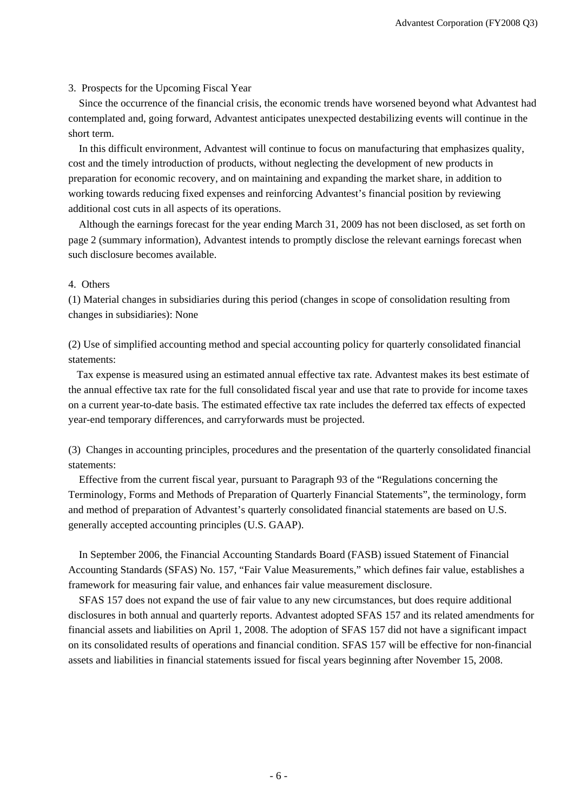### 3. Prospects for the Upcoming Fiscal Year

Since the occurrence of the financial crisis, the economic trends have worsened beyond what Advantest had contemplated and, going forward, Advantest anticipates unexpected destabilizing events will continue in the short term.

In this difficult environment, Advantest will continue to focus on manufacturing that emphasizes quality, cost and the timely introduction of products, without neglecting the development of new products in preparation for economic recovery, and on maintaining and expanding the market share, in addition to working towards reducing fixed expenses and reinforcing Advantest's financial position by reviewing additional cost cuts in all aspects of its operations.

Although the earnings forecast for the year ending March 31, 2009 has not been disclosed, as set forth on page 2 (summary information), Advantest intends to promptly disclose the relevant earnings forecast when such disclosure becomes available.

### 4. Others

(1) Material changes in subsidiaries during this period (changes in scope of consolidation resulting from changes in subsidiaries): None

(2) Use of simplified accounting method and special accounting policy for quarterly consolidated financial statements:

Tax expense is measured using an estimated annual effective tax rate. Advantest makes its best estimate of the annual effective tax rate for the full consolidated fiscal year and use that rate to provide for income taxes on a current year-to-date basis. The estimated effective tax rate includes the deferred tax effects of expected year-end temporary differences, and carryforwards must be projected.

(3) Changes in accounting principles, procedures and the presentation of the quarterly consolidated financial statements:

Effective from the current fiscal year, pursuant to Paragraph 93 of the "Regulations concerning the Terminology, Forms and Methods of Preparation of Quarterly Financial Statements", the terminology, form and method of preparation of Advantest's quarterly consolidated financial statements are based on U.S. generally accepted accounting principles (U.S. GAAP).

In September 2006, the Financial Accounting Standards Board (FASB) issued Statement of Financial Accounting Standards (SFAS) No. 157, "Fair Value Measurements," which defines fair value, establishes a framework for measuring fair value, and enhances fair value measurement disclosure.

SFAS 157 does not expand the use of fair value to any new circumstances, but does require additional disclosures in both annual and quarterly reports. Advantest adopted SFAS 157 and its related amendments for financial assets and liabilities on April 1, 2008. The adoption of SFAS 157 did not have a significant impact on its consolidated results of operations and financial condition. SFAS 157 will be effective for non-financial assets and liabilities in financial statements issued for fiscal years beginning after November 15, 2008.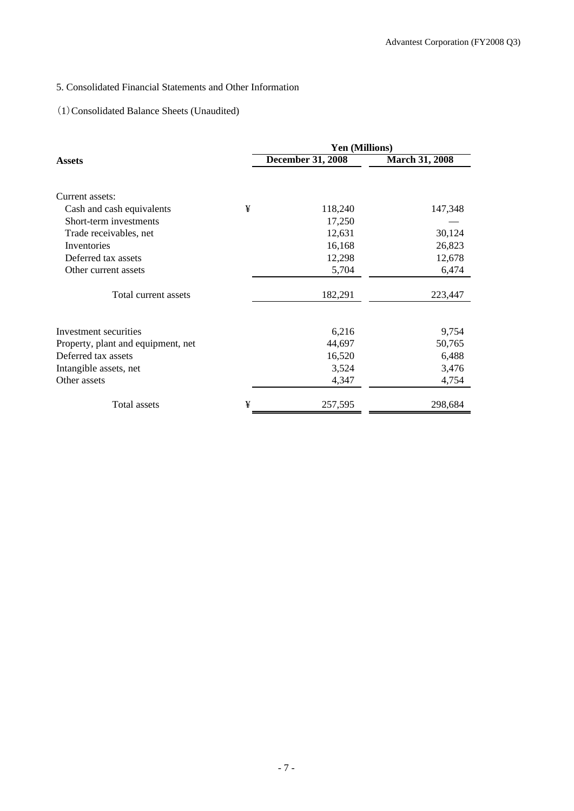# 5. Consolidated Financial Statements and Other Information

# (1)Consolidated Balance Sheets (Unaudited)

|                                    |   | Yen (Millions)           |                       |
|------------------------------------|---|--------------------------|-----------------------|
| <b>Assets</b>                      |   | <b>December 31, 2008</b> | <b>March 31, 2008</b> |
| Current assets:                    |   |                          |                       |
| Cash and cash equivalents          | ¥ | 118,240                  | 147,348               |
| Short-term investments             |   | 17,250                   |                       |
| Trade receivables, net             |   | 12,631                   | 30,124                |
| Inventories                        |   | 16,168                   | 26,823                |
| Deferred tax assets                |   | 12,298                   | 12,678                |
| Other current assets               |   | 5,704                    | 6,474                 |
| Total current assets               |   | 182,291                  | 223,447               |
| Investment securities              |   | 6,216                    | 9,754                 |
| Property, plant and equipment, net |   | 44,697                   | 50,765                |
| Deferred tax assets                |   | 16,520                   | 6,488                 |
| Intangible assets, net             |   | 3,524                    | 3,476                 |
| Other assets                       |   | 4,347                    | 4,754                 |
| Total assets                       | ¥ | 257,595                  | 298,684               |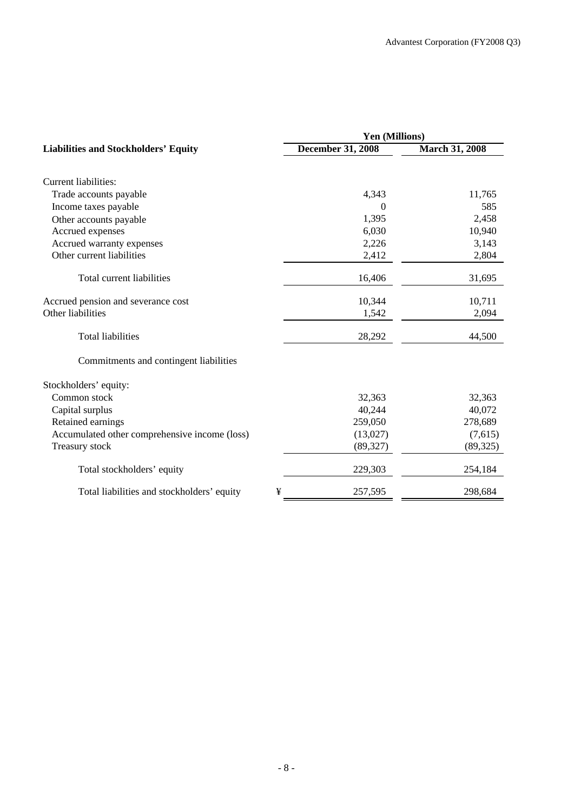|                          | Yen (Millions)                                         |
|--------------------------|--------------------------------------------------------|
| <b>December 31, 2008</b> | <b>March 31, 2008</b>                                  |
|                          |                                                        |
|                          | 11,765                                                 |
|                          | 585                                                    |
|                          | 2,458                                                  |
|                          | 10,940                                                 |
|                          | 3,143                                                  |
| 2,412                    | 2,804                                                  |
| 16,406                   | 31,695                                                 |
|                          | 10,711                                                 |
| 1,542                    | 2,094                                                  |
| 28,292                   | 44,500                                                 |
|                          |                                                        |
|                          |                                                        |
| 32,363                   | 32,363                                                 |
| 40,244                   | 40,072                                                 |
| 259,050                  | 278,689                                                |
| (13,027)                 | (7,615)                                                |
| (89, 327)                | (89, 325)                                              |
| 229,303                  | 254,184                                                |
| 257,595                  | 298,684                                                |
|                          | 4,343<br>$\Omega$<br>1,395<br>6,030<br>2,226<br>10,344 |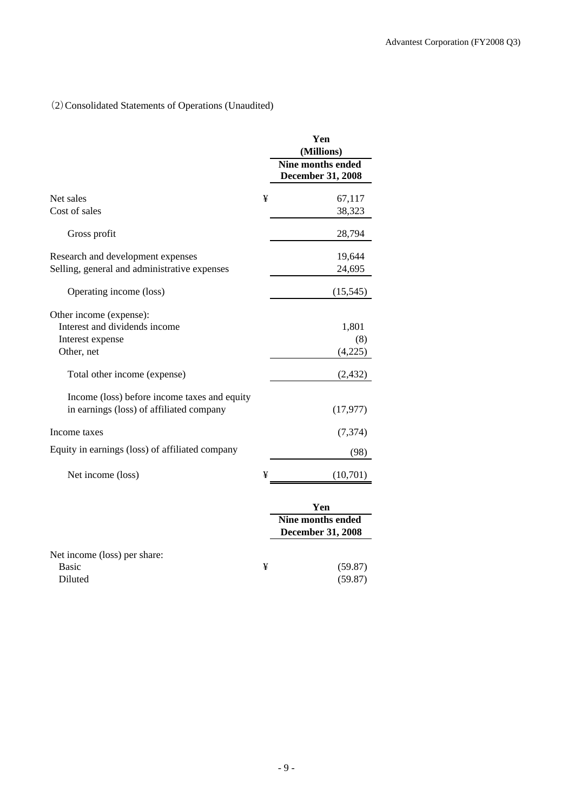# (2)Consolidated Statements of Operations (Unaudited)

|                                                                                          |   | Yen<br>(Millions)                                           |
|------------------------------------------------------------------------------------------|---|-------------------------------------------------------------|
|                                                                                          |   | Nine months ended<br><b>December 31, 2008</b>               |
| Net sales                                                                                | ¥ | 67,117                                                      |
| Cost of sales                                                                            |   | 38,323                                                      |
| Gross profit                                                                             |   | 28,794                                                      |
| Research and development expenses<br>Selling, general and administrative expenses        |   | 19,644<br>24,695                                            |
| Operating income (loss)                                                                  |   | (15, 545)                                                   |
| Other income (expense):<br>Interest and dividends income                                 |   | 1,801                                                       |
| Interest expense                                                                         |   | (8)                                                         |
| Other, net                                                                               |   | (4,225)                                                     |
| Total other income (expense)                                                             |   | (2, 432)                                                    |
| Income (loss) before income taxes and equity<br>in earnings (loss) of affiliated company |   | (17, 977)                                                   |
| Income taxes                                                                             |   | (7,374)                                                     |
| Equity in earnings (loss) of affiliated company                                          |   | (98)                                                        |
| Net income (loss)                                                                        | ¥ | (10,701)                                                    |
|                                                                                          |   | Yen<br><b>Nine months ended</b><br><b>December 31, 2008</b> |
| Net income (loss) per share:                                                             |   |                                                             |
| <b>Basic</b><br>Diluted                                                                  | ¥ | (59.87)<br>(59.87)                                          |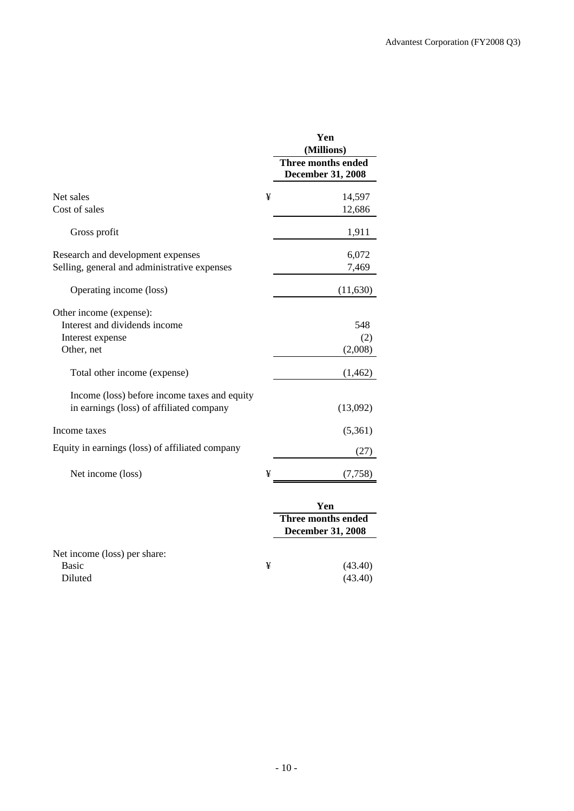|                                                 |   | Yen<br>(Millions)                                     |
|-------------------------------------------------|---|-------------------------------------------------------|
|                                                 |   | <b>Three months ended</b><br><b>December 31, 2008</b> |
| Net sales                                       | ¥ | 14,597                                                |
| Cost of sales                                   |   | 12,686                                                |
| Gross profit                                    |   | 1,911                                                 |
| Research and development expenses               |   | 6,072                                                 |
| Selling, general and administrative expenses    |   | 7,469                                                 |
| Operating income (loss)                         |   | (11,630)                                              |
| Other income (expense):                         |   |                                                       |
| Interest and dividends income                   |   | 548                                                   |
| Interest expense                                |   | (2)                                                   |
| Other, net                                      |   | (2,008)                                               |
| Total other income (expense)                    |   | (1, 462)                                              |
| Income (loss) before income taxes and equity    |   |                                                       |
| in earnings (loss) of affiliated company        |   | (13,092)                                              |
| Income taxes                                    |   | (5,361)                                               |
| Equity in earnings (loss) of affiliated company |   | (27)                                                  |
| Net income (loss)                               | ¥ | (7, 758)                                              |
|                                                 |   | Yen                                                   |
|                                                 |   | <b>Three months ended</b><br><b>December 31, 2008</b> |
|                                                 |   |                                                       |

| Net income (loss) per share: |   |
|------------------------------|---|
| Basic                        | ¥ |
| Diluted                      |   |

 $(43.40)$  $(43.40)$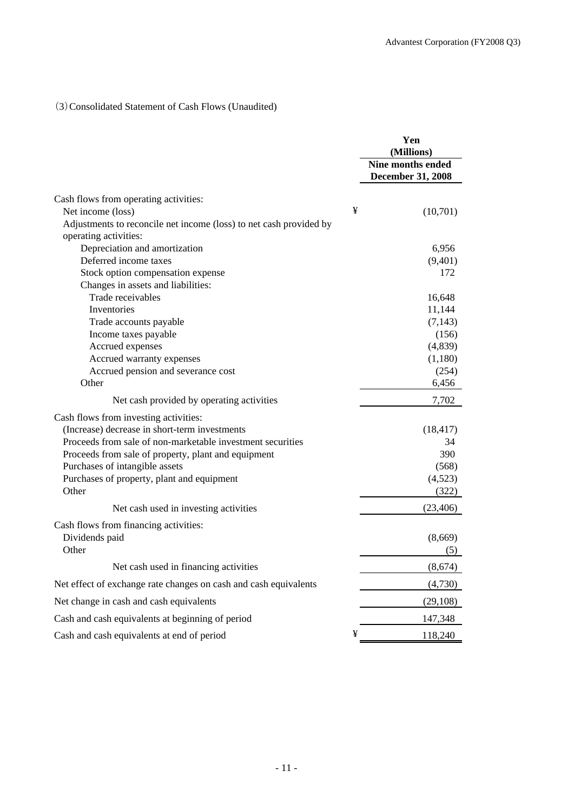# (3)Consolidated Statement of Cash Flows (Unaudited)

|                                                                    |   | Yen<br>(Millions)                             |
|--------------------------------------------------------------------|---|-----------------------------------------------|
|                                                                    |   | Nine months ended<br><b>December 31, 2008</b> |
| Cash flows from operating activities:                              |   |                                               |
| Net income (loss)                                                  | ¥ | (10,701)                                      |
| Adjustments to reconcile net income (loss) to net cash provided by |   |                                               |
| operating activities:                                              |   |                                               |
| Depreciation and amortization                                      |   | 6,956                                         |
| Deferred income taxes                                              |   | (9,401)                                       |
| Stock option compensation expense                                  |   | 172                                           |
| Changes in assets and liabilities:                                 |   |                                               |
| Trade receivables                                                  |   | 16,648                                        |
| Inventories                                                        |   | 11,144                                        |
| Trade accounts payable                                             |   | (7, 143)                                      |
| Income taxes payable                                               |   | (156)                                         |
| Accrued expenses                                                   |   | (4,839)                                       |
| Accrued warranty expenses                                          |   | (1,180)                                       |
| Accrued pension and severance cost                                 |   | (254)                                         |
| Other                                                              |   | 6,456                                         |
| Net cash provided by operating activities                          |   | 7,702                                         |
| Cash flows from investing activities:                              |   |                                               |
| (Increase) decrease in short-term investments                      |   | (18, 417)                                     |
| Proceeds from sale of non-marketable investment securities         |   | 34                                            |
| Proceeds from sale of property, plant and equipment                |   | 390                                           |
| Purchases of intangible assets                                     |   | (568)                                         |
| Purchases of property, plant and equipment                         |   | (4,523)                                       |
| Other                                                              |   | (322)                                         |
| Net cash used in investing activities                              |   | (23, 406)                                     |
| Cash flows from financing activities:                              |   |                                               |
| Dividends paid                                                     |   | (8,669)                                       |
| Other                                                              |   | (5)                                           |
| Net cash used in financing activities                              |   | (8,674)                                       |
| Net effect of exchange rate changes on cash and cash equivalents   |   | (4,730)                                       |
| Net change in cash and cash equivalents                            |   | (29, 108)                                     |
| Cash and cash equivalents at beginning of period                   |   | 147,348                                       |
| Cash and cash equivalents at end of period                         | ¥ | 118,240                                       |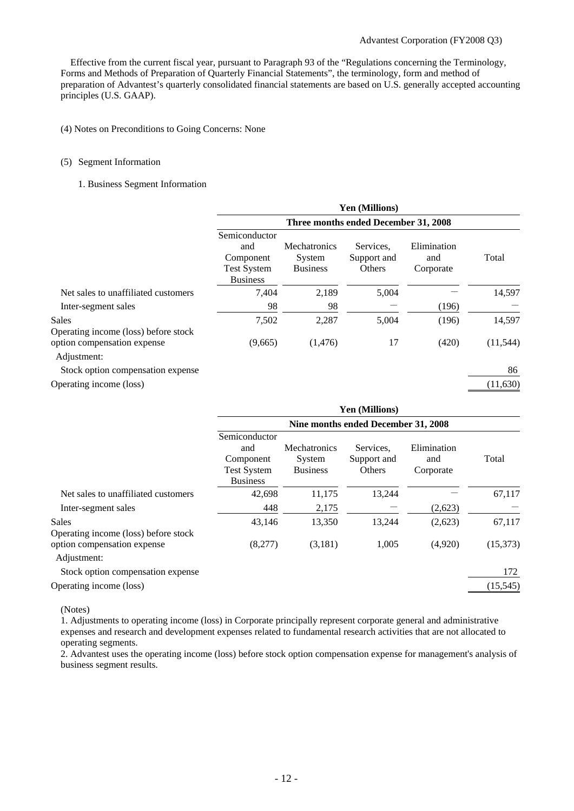Effective from the current fiscal year, pursuant to Paragraph 93 of the "Regulations concerning the Terminology, Forms and Methods of Preparation of Quarterly Financial Statements", the terminology, form and method of preparation of Advantest's quarterly consolidated financial statements are based on U.S. generally accepted accounting principles (U.S. GAAP).

#### (4) Notes on Preconditions to Going Concerns: None

#### (5) Segment Information

#### 1. Business Segment Information

|                                                      |                                                                            |                                                  | <b>Yen (Millions)</b>                     |                                 |           |
|------------------------------------------------------|----------------------------------------------------------------------------|--------------------------------------------------|-------------------------------------------|---------------------------------|-----------|
|                                                      | Three months ended December 31, 2008                                       |                                                  |                                           |                                 |           |
|                                                      | Semiconductor<br>and<br>Component<br><b>Test System</b><br><b>Business</b> | <b>Mechatronics</b><br>System<br><b>Business</b> | Services.<br>Support and<br><b>Others</b> | Elimination<br>and<br>Corporate | Total     |
| Net sales to unaffiliated customers                  | 7,404                                                                      | 2,189                                            | 5,004                                     |                                 | 14,597    |
| Inter-segment sales                                  | 98                                                                         | 98                                               |                                           | (196)                           |           |
| <b>Sales</b><br>Operating income (loss) before stock | 7,502                                                                      | 2,287                                            | 5,004                                     | (196)                           | 14,597    |
| option compensation expense<br>Adjustment:           | (9,665)                                                                    | (1,476)                                          | 17                                        | (420)                           | (11, 544) |
| Stock option compensation expense                    |                                                                            |                                                  |                                           |                                 | 86        |
| Operating income (loss)                              |                                                                            |                                                  |                                           |                                 | (11, 630) |

|                                                      | Yen (Millions)                                                             |                                           |                                     |                                 |           |
|------------------------------------------------------|----------------------------------------------------------------------------|-------------------------------------------|-------------------------------------|---------------------------------|-----------|
|                                                      |                                                                            |                                           | Nine months ended December 31, 2008 |                                 |           |
|                                                      | Semiconductor<br>and<br>Component<br><b>Test System</b><br><b>Business</b> | Mechatronics<br>System<br><b>Business</b> | Services.<br>Support and<br>Others  | Elimination<br>and<br>Corporate | Total     |
| Net sales to unaffiliated customers                  | 42,698                                                                     | 11,175                                    | 13,244                              |                                 | 67,117    |
| Inter-segment sales                                  | 448                                                                        | 2,175                                     |                                     | (2,623)                         |           |
| <b>Sales</b><br>Operating income (loss) before stock | 43,146                                                                     | 13,350                                    | 13,244                              | (2,623)                         | 67,117    |
| option compensation expense<br>Adjustment:           | (8,277)                                                                    | (3,181)                                   | 1,005                               | (4,920)                         | (15,373)  |
| Stock option compensation expense                    |                                                                            |                                           |                                     |                                 | 172       |
| Operating income (loss)                              |                                                                            |                                           |                                     |                                 | (15, 545) |

(Notes)

1. Adjustments to operating income (loss) in Corporate principally represent corporate general and administrative expenses and research and development expenses related to fundamental research activities that are not allocated to operating segments.

2. Advantest uses the operating income (loss) before stock option compensation expense for management's analysis of business segment results.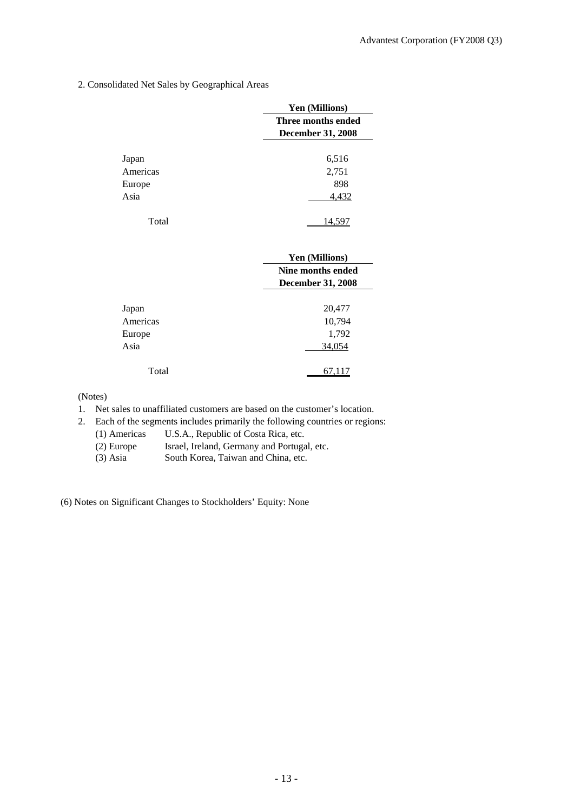2. Consolidated Net Sales by Geographical Areas

|          | Yen (Millions)           |
|----------|--------------------------|
|          | Three months ended       |
|          | <b>December 31, 2008</b> |
|          |                          |
| Japan    | 6,516                    |
| Americas | 2,751                    |
| Europe   | 898                      |
| Asia     | 4,432                    |
|          |                          |
| Total    |                          |

|          | Yen (Millions)           |
|----------|--------------------------|
|          | Nine months ended        |
|          | <b>December 31, 2008</b> |
|          |                          |
| Japan    | 20,477                   |
| Americas | 10,794                   |
| Europe   | 1,792                    |
| Asia     | 34,054                   |
|          |                          |
| Total    |                          |

(Notes)

- 1. Net sales to unaffiliated customers are based on the customer's location.
- 2. Each of the segments includes primarily the following countries or regions:
	- (1) Americas U.S.A., Republic of Costa Rica, etc.
	- (2) Europe Israel, Ireland, Germany and Portugal, etc.
	- (3) Asia South Korea, Taiwan and China, etc.

(6) Notes on Significant Changes to Stockholders' Equity: None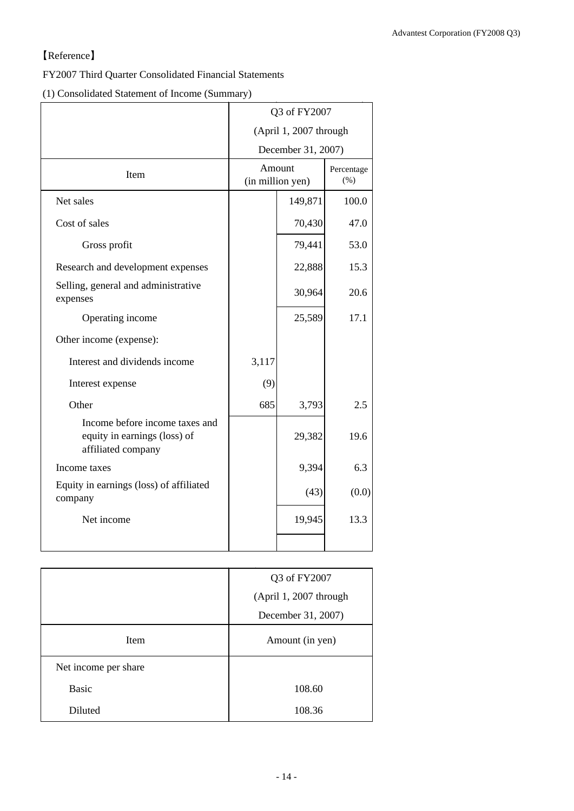# 【Reference】

# FY2007 Third Quarter Consolidated Financial Statements

(1) Consolidated Statement of Income (Summary)

|                                                                                      | Q3 of FY2007           |                            |                       |  |
|--------------------------------------------------------------------------------------|------------------------|----------------------------|-----------------------|--|
|                                                                                      | (April 1, 2007 through |                            |                       |  |
|                                                                                      |                        | December 31, 2007)         |                       |  |
| Item                                                                                 |                        | Amount<br>(in million yen) | Percentage<br>$(\% )$ |  |
| Net sales                                                                            |                        | 149,871                    | 100.0                 |  |
| Cost of sales                                                                        |                        | 70,430                     | 47.0                  |  |
| Gross profit                                                                         |                        | 79,441                     | 53.0                  |  |
| Research and development expenses                                                    |                        | 22,888                     | 15.3                  |  |
| Selling, general and administrative<br>expenses                                      |                        | 30,964                     | 20.6                  |  |
| Operating income                                                                     |                        | 25,589                     | 17.1                  |  |
| Other income (expense):                                                              |                        |                            |                       |  |
| Interest and dividends income                                                        | 3,117                  |                            |                       |  |
| Interest expense                                                                     | (9)                    |                            |                       |  |
| Other                                                                                | 685                    | 3,793                      | 2.5                   |  |
| Income before income taxes and<br>equity in earnings (loss) of<br>affiliated company |                        | 29,382                     | 19.6                  |  |
| Income taxes                                                                         |                        | 9,394                      | 6.3                   |  |
| Equity in earnings (loss) of affiliated<br>company                                   |                        | (43)                       | (0.0)                 |  |
| Net income                                                                           |                        | 19,945                     | 13.3                  |  |
|                                                                                      |                        |                            |                       |  |

|                      | Q3 of FY2007           |
|----------------------|------------------------|
|                      | (April 1, 2007 through |
|                      | December 31, 2007)     |
| Item                 | Amount (in yen)        |
| Net income per share |                        |
| <b>Basic</b>         | 108.60                 |
| Diluted              | 108.36                 |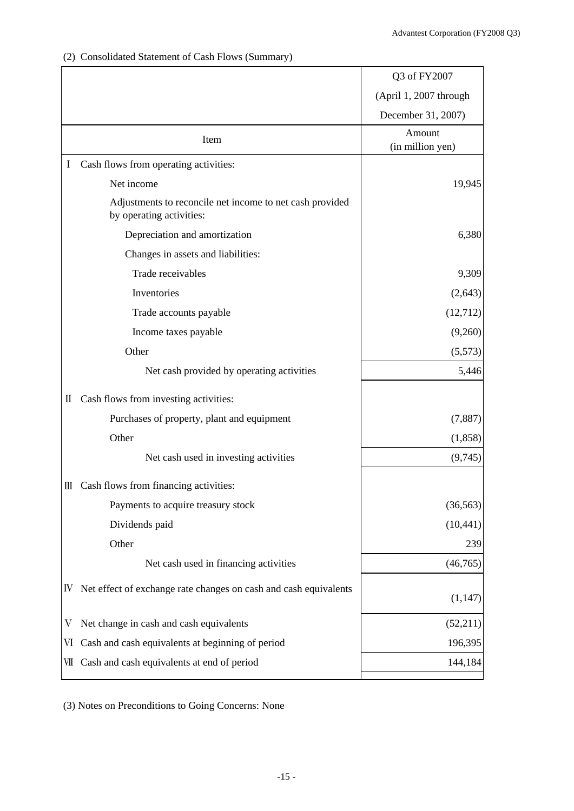|  | (2) Consolidated Statement of Cash Flows (Summary) |  |  |  |
|--|----------------------------------------------------|--|--|--|
|--|----------------------------------------------------|--|--|--|

|          |                                                                                      | Q3 of FY2007               |
|----------|--------------------------------------------------------------------------------------|----------------------------|
|          |                                                                                      | (April 1, 2007 through     |
|          |                                                                                      | December 31, 2007)         |
|          | Item                                                                                 | Amount<br>(in million yen) |
| $\bf{I}$ | Cash flows from operating activities:                                                |                            |
|          | Net income                                                                           | 19,945                     |
|          | Adjustments to reconcile net income to net cash provided<br>by operating activities: |                            |
|          | Depreciation and amortization                                                        | 6,380                      |
|          | Changes in assets and liabilities:                                                   |                            |
|          | Trade receivables                                                                    | 9,309                      |
|          | Inventories                                                                          | (2, 643)                   |
|          | Trade accounts payable                                                               | (12,712)                   |
|          | Income taxes payable                                                                 | (9,260)                    |
|          | Other                                                                                | (5,573)                    |
|          | Net cash provided by operating activities                                            | 5,446                      |
| П        | Cash flows from investing activities:                                                |                            |
|          | Purchases of property, plant and equipment                                           | (7,887)                    |
|          | Other                                                                                | (1,858)                    |
|          | Net cash used in investing activities                                                | (9,745)                    |
|          | III Cash flows from financing activities:                                            |                            |
|          | Payments to acquire treasury stock                                                   | (36, 563)                  |
|          | Dividends paid                                                                       | (10, 441)                  |
|          | Other                                                                                | 239                        |
|          | Net cash used in financing activities                                                | (46,765)                   |
| IV.      | Net effect of exchange rate changes on cash and cash equivalents                     | (1,147)                    |
| V        | Net change in cash and cash equivalents                                              | (52,211)                   |
| VI       | Cash and cash equivalents at beginning of period                                     | 196,395                    |
|          | VII Cash and cash equivalents at end of period                                       | 144,184                    |
|          |                                                                                      |                            |

(3) Notes on Preconditions to Going Concerns: None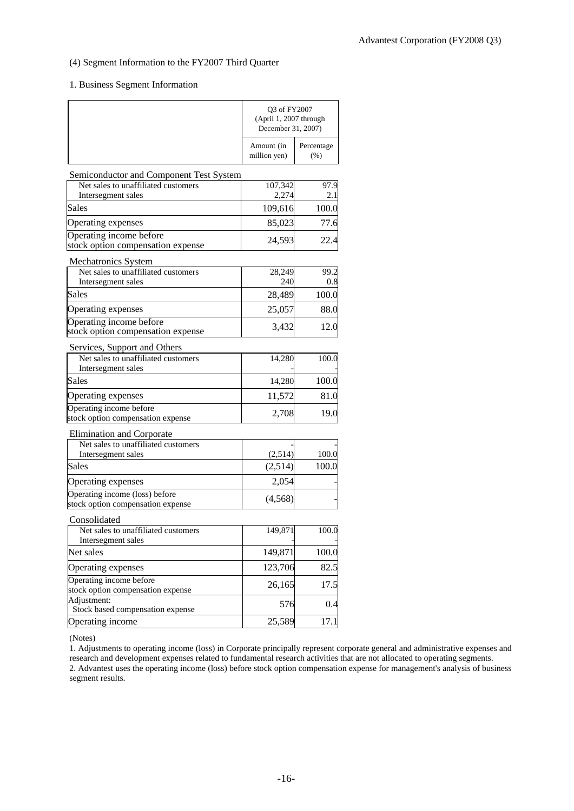### (4) Segment Information to the FY2007 Third Quarter

### 1. Business Segment Information

|                                                                                    | Q3 of FY2007<br>(April 1, 2007 through<br>December 31, 2007) |                    |
|------------------------------------------------------------------------------------|--------------------------------------------------------------|--------------------|
|                                                                                    | Amount (in<br>million yen)                                   | Percentage<br>(% ) |
| Semiconductor and Component Test System                                            |                                                              |                    |
| Net sales to unaffiliated customers                                                | 107,342                                                      | 97.9               |
| Intersegment sales<br><b>Sales</b>                                                 | 2,274<br>109,616                                             | 2.1<br>100.0       |
|                                                                                    |                                                              |                    |
| Operating expenses<br>Operating income before<br>stock option compensation expense | 85,023<br>24,593                                             | 77.6<br>22.4       |
|                                                                                    |                                                              |                    |
| Mechatronics System<br>Net sales to unaffiliated customers                         | 28,249                                                       | 99.2               |
| Intersegment sales                                                                 | 240                                                          | 0.8                |
| Sales                                                                              | 28,489                                                       | 100.0              |
| Operating expenses                                                                 | 25,057                                                       | 88.0               |
| Operating income before<br>stock option compensation expense                       | 3,432                                                        | 12.0               |
| Services, Support and Others                                                       |                                                              |                    |
| Net sales to unaffiliated customers<br>Intersegment sales                          | 14,280                                                       | 100.0              |
| Sales                                                                              | 14,280                                                       | 100.0              |
| Operating expenses                                                                 | 11,572                                                       | 81.0               |
| Operating income before<br>stock option compensation expense                       | 2,708                                                        | 19.0               |
| Elimination and Corporate                                                          |                                                              |                    |
| Net sales to unaffiliated customers<br>Intersegment sales                          | (2,514)                                                      | 100.0              |
| <b>Sales</b>                                                                       | (2,514)                                                      | 100.0              |
| Operating expenses                                                                 | 2,054                                                        |                    |
| Operating income (loss) before<br>stock option compensation expense                | (4, 568)                                                     |                    |
| Consolidated                                                                       |                                                              |                    |
| Net sales to unaffiliated customers<br>Intersegment sales                          | 149,871                                                      | 100.0              |
| Net sales                                                                          | 149,871                                                      | 100.0              |
| Operating expenses                                                                 | 123,706                                                      | 82.5               |
| Operating income before<br>stock option compensation expense                       | 26,165                                                       | 17.5               |
| Adjustment:<br>Stock based compensation expense                                    | 576                                                          | 0.4                |
| Operating income                                                                   | 25,589                                                       | 17.1               |

(Notes)

1. Adjustments to operating income (loss) in Corporate principally represent corporate general and administrative expenses and research and development expenses related to fundamental research activities that are not allocated to operating segments. 2. Advantest uses the operating income (loss) before stock option compensation expense for management's analysis of business segment results.